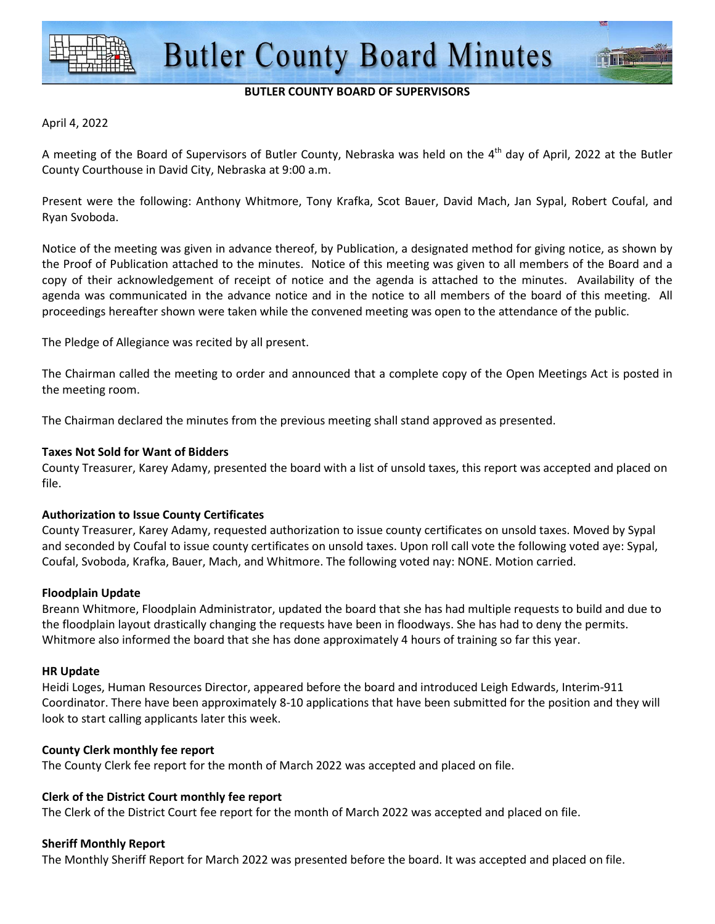

## **BUTLER COUNTY BOARD OF SUPERVISORS**

#### April 4, 2022

A meeting of the Board of Supervisors of Butler County, Nebraska was held on the  $4<sup>th</sup>$  day of April, 2022 at the Butler County Courthouse in David City, Nebraska at 9:00 a.m.

Present were the following: Anthony Whitmore, Tony Krafka, Scot Bauer, David Mach, Jan Sypal, Robert Coufal, and Ryan Svoboda.

Notice of the meeting was given in advance thereof, by Publication, a designated method for giving notice, as shown by the Proof of Publication attached to the minutes. Notice of this meeting was given to all members of the Board and a copy of their acknowledgement of receipt of notice and the agenda is attached to the minutes. Availability of the agenda was communicated in the advance notice and in the notice to all members of the board of this meeting. All proceedings hereafter shown were taken while the convened meeting was open to the attendance of the public.

The Pledge of Allegiance was recited by all present.

The Chairman called the meeting to order and announced that a complete copy of the Open Meetings Act is posted in the meeting room.

The Chairman declared the minutes from the previous meeting shall stand approved as presented.

#### **Taxes Not Sold for Want of Bidders**

County Treasurer, Karey Adamy, presented the board with a list of unsold taxes, this report was accepted and placed on file.

## **Authorization to Issue County Certificates**

County Treasurer, Karey Adamy, requested authorization to issue county certificates on unsold taxes. Moved by Sypal and seconded by Coufal to issue county certificates on unsold taxes. Upon roll call vote the following voted aye: Sypal, Coufal, Svoboda, Krafka, Bauer, Mach, and Whitmore. The following voted nay: NONE. Motion carried.

#### **Floodplain Update**

Breann Whitmore, Floodplain Administrator, updated the board that she has had multiple requests to build and due to the floodplain layout drastically changing the requests have been in floodways. She has had to deny the permits. Whitmore also informed the board that she has done approximately 4 hours of training so far this year.

#### **HR Update**

Heidi Loges, Human Resources Director, appeared before the board and introduced Leigh Edwards, Interim-911 Coordinator. There have been approximately 8-10 applications that have been submitted for the position and they will look to start calling applicants later this week.

## **County Clerk monthly fee report**

The County Clerk fee report for the month of March 2022 was accepted and placed on file.

## **Clerk of the District Court monthly fee report**

The Clerk of the District Court fee report for the month of March 2022 was accepted and placed on file.

## **Sheriff Monthly Report**

The Monthly Sheriff Report for March 2022 was presented before the board. It was accepted and placed on file.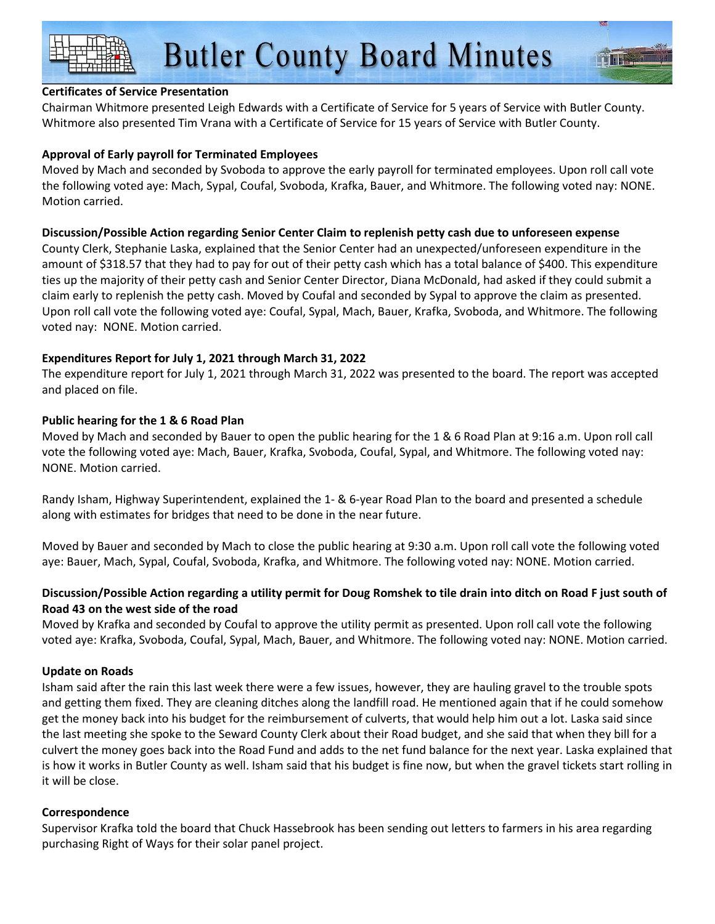# **Certificates of Service Presentation**

Chairman Whitmore presented Leigh Edwards with a Certificate of Service for 5 years of Service with Butler County. Whitmore also presented Tim Vrana with a Certificate of Service for 15 years of Service with Butler County.

# **Approval of Early payroll for Terminated Employees**

Moved by Mach and seconded by Svoboda to approve the early payroll for terminated employees. Upon roll call vote the following voted aye: Mach, Sypal, Coufal, Svoboda, Krafka, Bauer, and Whitmore. The following voted nay: NONE. Motion carried.

## **Discussion/Possible Action regarding Senior Center Claim to replenish petty cash due to unforeseen expense**

County Clerk, Stephanie Laska, explained that the Senior Center had an unexpected/unforeseen expenditure in the amount of \$318.57 that they had to pay for out of their petty cash which has a total balance of \$400. This expenditure ties up the majority of their petty cash and Senior Center Director, Diana McDonald, had asked if they could submit a claim early to replenish the petty cash. Moved by Coufal and seconded by Sypal to approve the claim as presented. Upon roll call vote the following voted aye: Coufal, Sypal, Mach, Bauer, Krafka, Svoboda, and Whitmore. The following voted nay: NONE. Motion carried.

# **Expenditures Report for July 1, 2021 through March 31, 2022**

The expenditure report for July 1, 2021 through March 31, 2022 was presented to the board. The report was accepted and placed on file.

## **Public hearing for the 1 & 6 Road Plan**

Moved by Mach and seconded by Bauer to open the public hearing for the 1 & 6 Road Plan at 9:16 a.m. Upon roll call vote the following voted aye: Mach, Bauer, Krafka, Svoboda, Coufal, Sypal, and Whitmore. The following voted nay: NONE. Motion carried.

Randy Isham, Highway Superintendent, explained the 1- & 6-year Road Plan to the board and presented a schedule along with estimates for bridges that need to be done in the near future.

Moved by Bauer and seconded by Mach to close the public hearing at 9:30 a.m. Upon roll call vote the following voted aye: Bauer, Mach, Sypal, Coufal, Svoboda, Krafka, and Whitmore. The following voted nay: NONE. Motion carried.

# **Discussion/Possible Action regarding a utility permit for Doug Romshek to tile drain into ditch on Road F just south of Road 43 on the west side of the road**

Moved by Krafka and seconded by Coufal to approve the utility permit as presented. Upon roll call vote the following voted aye: Krafka, Svoboda, Coufal, Sypal, Mach, Bauer, and Whitmore. The following voted nay: NONE. Motion carried.

# **Update on Roads**

Isham said after the rain this last week there were a few issues, however, they are hauling gravel to the trouble spots and getting them fixed. They are cleaning ditches along the landfill road. He mentioned again that if he could somehow get the money back into his budget for the reimbursement of culverts, that would help him out a lot. Laska said since the last meeting she spoke to the Seward County Clerk about their Road budget, and she said that when they bill for a culvert the money goes back into the Road Fund and adds to the net fund balance for the next year. Laska explained that is how it works in Butler County as well. Isham said that his budget is fine now, but when the gravel tickets start rolling in it will be close.

## **Correspondence**

Supervisor Krafka told the board that Chuck Hassebrook has been sending out letters to farmers in his area regarding purchasing Right of Ways for their solar panel project.